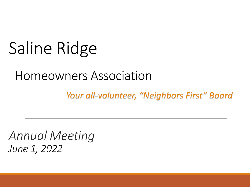# Saline Ridge

#### Homeowners Association

*Your all-volunteer, "Neighbors First" Board*

*Annual Meeting June 1, 2022*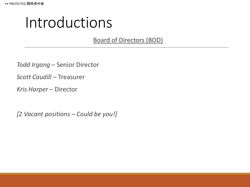#### Introductions

Board of Directors (BOD)

*Todd Irgang* – Senior Director

*Scott Caudill* – Treasurer

*Kris Harper* – Director

*[2 Vacant positions – Could be you!]*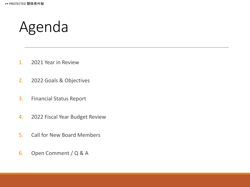#### Agenda

- 1. 2021 Year in Review
- 2. 2022 Goals & Objectives
- 3. Financial Status Report
- 4. 2022 Fiscal Year Budget Review
- 5. Call for New Board Members
- 6. Open Comment / Q & A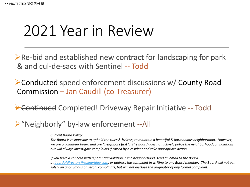#### 2021 Year in Review

 $\triangleright$  Re-bid and established new contract for landscaping for park & and cul-de-sacs with Sentinel -- Todd

➢Conducted speed enforcement discussions w/ County Road Commission – Jan Caudill (co-Treasurer)

➢Continued Completed! Driveway Repair Initiative -- Todd

➢"Neighborly" by-law enforcement --All

*Current Board Policy:*

*The Board is responsible to uphold the rules & bylaws, to maintain a beautiful & harmonious neighborhood. However, we are a volunteer board and are "neighbors first". The Board does not actively police the neighborhood for violations, but will always investigate complaints if raised by a resident and take appropriate action.*

*If you have a concern with a potential violation in the neighborhood, send an email to the Board at [boardofdirectors@salineridge.com,](mailto:boardofdirectors@salineridge.com) or address the complaint in writing to any Board member. The Board will not act solely on anonymous or verbal complaints, but will not disclose the originator of any formal complaint.*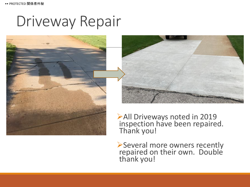#### Driveway Repair





➢All Driveways noted in 2019 inspection have been repaired. Thank you!

➢Several more owners recently repaired on their own. Double thank you!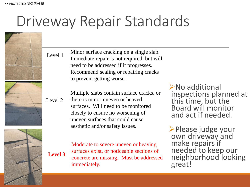#### Driveway Repair Standards

Level 1

Level 2

**Level 3**





Minor surface cracking on a single slab. Immediate repair is not required, but will need to be addressed if it progresses. Recommend sealing or repairing cracks to prevent getting worse.

Multiple slabs contain surface cracks, or there is minor uneven or heaved surfaces. Will need to be monitored closely to ensure no worsening of uneven surfaces that could cause aesthetic and/or safety issues.

Moderate to severe uneven or heaving surfaces exist, or noticeable sections of concrete are missing. Must be addressed immediately.

➢No additional inspections planned at this time, but the Board will monitor and act if needed.

➢Please judge your own driveway and make repairs if needed to keep our neighborhood looking great!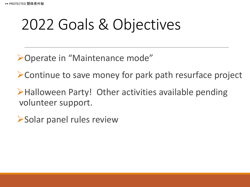# 2022 Goals & Objectives

➢Operate in "Maintenance mode"

➢Continue to save money for park path resurface project

➢Halloween Party! Other activities available pending volunteer support.

➢Solar panel rules review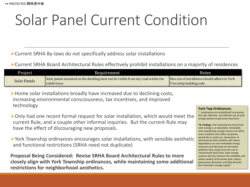# Solar Panel Current Condition

➢Current SRHA By-laws do not specifically address solar installations

➢Current SRHA Board Architectural Rules effectively prohibit installations on a majority of residences

| Project             | Requirement                                                                                       | <b>Notes</b>                                                              |
|---------------------|---------------------------------------------------------------------------------------------------|---------------------------------------------------------------------------|
| <b>Solar Panels</b> | Solar panels mounted on the dwelling must not be visible from any road within the<br>subdivision. | Max size of installation should adhere to York<br>Township building code. |

➢Home solar installations broadly have increased due to declining costs, increasing environmental consciousness, tax incentives, and improved technology

➢Only had one recent formal request for solar installation, which would meet the current Rule, and a couple other informal inquiries. But the current Rule may have the effect of discouraging new proposals. **Figure is a constrained on the dwelling must not be visible from any road within the substrictions for neighborhood in the substrictions for one informal consciousness, tax incentives, and improved<br>
Proveship building cod** 

➢York Township ordinances encourages solar installations, with sensible aesthetic and functional restrictions (SRHA need not duplicate)

**Proposal Being Considered: Revise SRHA Board Architectural Rules to more closely align with York Township ordinances, while maintaining some additional** 

#### **York Twp Ordinances:**

"…[ordinances are established] to promote the safe, effective, and efficient use of solar energy systems to generate electricity."

**"B. Findings.** The Township has found that solar energy is an abundant, renewable, and nonpolluting energy resource of which some residents and utility companies would like to make use. Generation of electricity by these facilities will reduce dependence on non-renewable energy resources and decrease air and water pollution that results from the use of conventional fossil fuels. Solar energy systems will also enhance the reliability and power quality of the power grid, reduce peak power demands, and help diversify the Township's energy supply."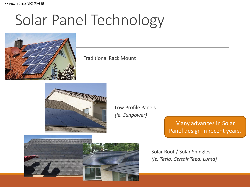## Solar Panel Technology



Traditional Rack Mount



Low Profile Panels *(ie. Sunpower)*

> Many advances in Solar Panel design in recent years.



Solar Roof / Solar Shingles *(ie. Tesla, CertainTeed, Luma)*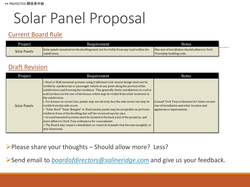#### Solar Panel Proposal

#### Current Board Rule

| Project      | Requirement                                                                                       | Notes                                                                     |  |
|--------------|---------------------------------------------------------------------------------------------------|---------------------------------------------------------------------------|--|
| Solar Panels | Solar panels mounted on the dwelling must not be visible from any road within the<br>subdivision. | Max size of installation should adhere to York<br>Township building code. |  |

#### Draft Revision

| Project      | Requirement                                                                                                                                                                                                                                                                                                                                                                                                                                                                                                                                                                                                                                                                                                                                                                                                                                                                                                           | <b>Notes</b>                                                                                                             |
|--------------|-----------------------------------------------------------------------------------------------------------------------------------------------------------------------------------------------------------------------------------------------------------------------------------------------------------------------------------------------------------------------------------------------------------------------------------------------------------------------------------------------------------------------------------------------------------------------------------------------------------------------------------------------------------------------------------------------------------------------------------------------------------------------------------------------------------------------------------------------------------------------------------------------------------------------|--------------------------------------------------------------------------------------------------------------------------|
| Solar Panels | > Roof or Wall mounted systems using traditional rack-mount design must not be<br>visible by a pedestrian or passenger vehicle at any point along the portion of the<br>subdivision road fronting the residence. This generally limits installations to roof or<br>wall surfaces on the rear of the house, which may be visible from other locations in<br>the subdivision.<br>> For houses on corner lots, panels may not directly face the side street, but may be<br>visible from the side street.<br>> "Solar Roof" "Solar Shingles" or flush mount panels may be acceptable on portions<br>visible in front of the dwelling, but will be reviewed case by case.<br>> Ground mounted systems must be located in the back yard of the property, and<br>must adhere to York Twp ordinances for concealment.<br>> The Board may require remediation or removal of panels that become unsightly or<br>non-functional. | Consult York Twp ordinances for limits on max<br>size of installation and other location and<br>appearance requirements. |

➢Please share your thoughts – Should allow more? Less?

➢Send email to *[boardofdirectors@salineridge.com](mailto:boardofdirectors@salineridge.com)* and give us your feedback.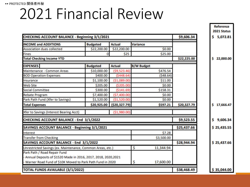#### •• PROTECTED 関係者外秘

#### 2021 Financial Review

| CHECKING ACCOUNT BALANCE - Beginning 3/1/2021                  |                 |                 |                   | \$9,606.34  | \$5,072.81      |
|----------------------------------------------------------------|-----------------|-----------------|-------------------|-------------|-----------------|
| <b>INCOME and ADDITIONS</b>                                    | <b>Budgeted</b> | <b>Actual</b>   | Variance          |             |                 |
| <b>Association dues collected</b>                              | \$22,200.00     | \$22,200.00     | \$0.00            |             |                 |
| <b>Fines</b>                                                   | 0               | \$25            | \$25.00           |             |                 |
| <b>Total Checking Income YTD</b>                               |                 |                 |                   | \$22,225.00 | \$<br>22,000.00 |
| <b>EXPENSES</b>                                                | <b>Budgeted</b> | <b>Actual</b>   | <b>B/W Budget</b> |             |                 |
| Maintenance - Common Areas                                     | \$10,000.00     | (59, 523.46)    | \$476.54          |             |                 |
| <b>BOD Operation Expenses</b>                                  | \$400.00        | ( \$448.64)     | (548.64)          |             |                 |
| Insurance                                                      | \$1,100.00      | (51,089.00)     | \$11.00           |             |                 |
| <b>Web Site</b>                                                | \$205.00        | (\$205.00)      | \$0.00            |             |                 |
| <b>Social Committee</b>                                        | \$300.00        | ( \$141.69)     | \$158.31          |             |                 |
| <b>Rebate Program</b>                                          | \$7,400.00      | (57,400.00)     | \$0.00            |             |                 |
| Park Path Fund (Xfer to Savings)                               | \$1,520.00      | (51,520.00)     | \$0.00            |             |                 |
| <b>Total Expenses</b>                                          | \$20,925.00     | ( \$20, 327.79] | \$597.21          | \$20,327.79 | \$<br>17,666.47 |
| Xfer to Savings (Interest Bearing Acct)                        |                 | (\$1,980.00)    |                   |             |                 |
| CHECKING ACCOUNT BALANCE - End 3/1/2022                        | \$9,523.55      | \$<br>9,606.34  |                   |             |                 |
| SAVINGS ACCOUNT BALANCE - Beginning 3/1/2021                   |                 |                 |                   | \$25,437.66 | \$25,435.55     |
| Interest                                                       |                 | \$7.28          |                   |             |                 |
| <b>Transfer from Checking</b>                                  |                 |                 |                   |             |                 |
| SAVINGS ACCOUNT BALANCE - End 3/1/2022                         |                 | \$28,944.94     | \$25,437.66       |             |                 |
| Unrestricted Savings (ex. Maintenance, Common Areas, etc.)     | \$<br>11,344.94 |                 |                   |             |                 |
| Park Path / Road Repair Fund                                   |                 |                 |                   |             |                 |
| Annual Deposits of \$1520 Made in 2016, 2017, 2018, 2020, 2021 |                 |                 |                   |             |                 |
| Warner Road Fund of \$10K Moved to Park Path Fund in 2020      |                 |                 |                   |             |                 |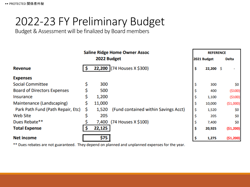#### 2022-23 FY Preliminary Budget

Budget & Assessment will be finalized by Board members

| <b>Saline Ridge Home Owner Assoc</b> |    |             | <b>REFERENCE</b>                     |    |             |  |              |
|--------------------------------------|----|-------------|--------------------------------------|----|-------------|--|--------------|
|                                      |    | 2022 Budget |                                      |    | 2021 Budget |  | <b>Delta</b> |
| <b>Revenue</b>                       |    |             | 22,200 (74 Houses X \$300)           | \$ | $22,200$ \$ |  |              |
| <b>Expenses</b>                      |    |             |                                      |    |             |  |              |
| <b>Social Committee</b>              | \$ | 300         |                                      | \$ | 300         |  | \$0          |
| <b>Board of Directors Expenses</b>   |    | 500         |                                      |    | 400         |  | ( \$100)     |
| Insurance                            | \$ | 1,200       |                                      | \$ | 1,100       |  | ( \$100)     |
| Maintenance (Landscaping)            | \$ | 11,000      |                                      | \$ | 10,000      |  | (\$1,000)    |
| Park Path Fund (Path Repair, Etc)    | Ş  | 1,520       | (Fund contained within Savings Acct) | \$ | 1,520       |  | \$0          |
| <b>Web Site</b>                      |    | 205         |                                      | \$ | 205         |  | \$0          |
| Dues Rebate**                        |    | 7,400       | (74 Houses X \$100)                  | \$ | 7,400       |  | \$0          |
| <b>Total Expense</b>                 |    | 22,125      |                                      | \$ | 20,925      |  | (51,200)     |
| <b>Net income</b>                    |    | \$75        |                                      | \$ | 1,275       |  | (\$1,200)    |

\*\* Dues rebates are not guaranteed. They depend on planned and unplanned expenses for the year.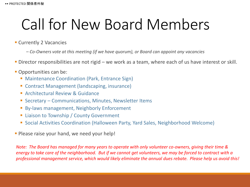### Call for New Board Members

**Currently 2 Vacancies** 

*– Co-Owners vote at this meeting (if we have quorum), or Board can appoint any vacancies*

- **Director responsibilities are not rigid we work as a team, where each of us have interest or skill.**
- **Opportunities can be:** 
	- Maintenance Coordination (Park, Entrance Sign)
	- Contract Management (landscaping, insurance)
	- **E** Architectural Review & Guidance
	- Secretary Communications, Minutes, Newsletter Items
	- **EX-laws management, Neighborly Enforcement**
	- Liaison to Township / County Government
	- Social Activities Coordination (Halloween Party, Yard Sales, Neighborhood Welcome)
- **Please raise your hand, we need your help!**

*Note: The Board has managed for many years to operate with only volunteer co-owners, giving their time & energy to take care of the neighborhood. But if we cannot get volunteers, we may be forced to contract with a professional management service, which would likely eliminate the annual dues rebate. Please help us avoid this!*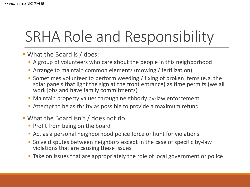### SRHA Role and Responsibility

- What the Board is / does:
	- A group of volunteers who care about the people in this neighborhood
	- **Example 1** Arrange to maintain common elements (mowing / fertilization)
	- Sometimes volunteer to perform weeding / fixing of broken items (e.g. the solar panels that light the sign at the front entrance) as time permits (we all work jobs and have family commitments)
	- **Maintain property values through neighborly by-law enforcement**
	- Attempt to be as thrifty as possible to provide a maximum refund
- What the Board isn't / does not do:
	- **Profit from being on the board**
	- Act as a personal neighborhood police force or hunt for violations
	- Solve disputes between neighbors except in the case of specific by-law violations that are causing these issues
	- Take on issues that are appropriately the role of local government or police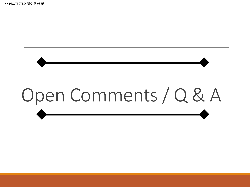•• PROTECTED 関係者外秘

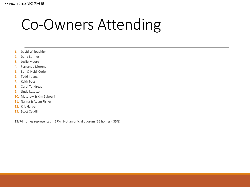#### Co-Owners Attending

- 1. David Willoughby
- 2. Dana Barnier
- 3. Leslie Moore
- 4. Fernando Moreno
- 5. Ben & Heidi Cutler
- 6. Todd Irgang
- 7. Keith Post
- 8. Carol Tondreau
- 9. Linda Lezotte
- 10. Matthew & Kim Sabourin
- 11. Nalina & Adam Fisher
- 12. Kris Harper
- 13. Scott Caudill

13/74 homes represented = 17%. Not an official quorum (26 homes - 35%)